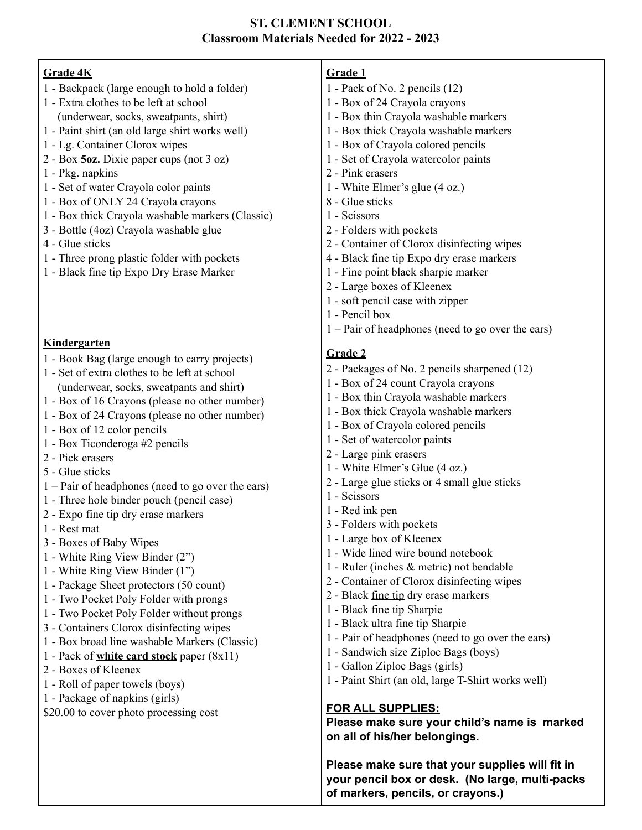## **ST. CLEMENT SCHOOL Classroom Materials Needed for 2022 - 2023**

| Grade 4K                                            | Grade 1                                             |
|-----------------------------------------------------|-----------------------------------------------------|
| 1 - Backpack (large enough to hold a folder)        | 1 - Pack of No. 2 pencils $(12)$                    |
| 1 - Extra clothes to be left at school              | 1 - Box of 24 Crayola crayons                       |
| (underwear, socks, sweatpants, shirt)               | 1 - Box thin Crayola washable markers               |
| 1 - Paint shirt (an old large shirt works well)     | 1 - Box thick Crayola washable markers              |
| 1 - Lg. Container Clorox wipes                      | 1 - Box of Crayola colored pencils                  |
| 2 - Box 5oz. Dixie paper cups (not 3 oz)            | 1 - Set of Crayola watercolor paints                |
| 1 - Pkg. napkins                                    | 2 - Pink erasers                                    |
| 1 - Set of water Crayola color paints               | 1 - White Elmer's glue (4 oz.)                      |
| 1 - Box of ONLY 24 Crayola crayons                  | 8 - Glue sticks                                     |
|                                                     | 1 - Scissors                                        |
| 1 - Box thick Crayola washable markers (Classic)    |                                                     |
| 3 - Bottle (4oz) Crayola washable glue              | 2 - Folders with pockets                            |
| 4 - Glue sticks                                     | 2 - Container of Clorox disinfecting wipes          |
| 1 - Three prong plastic folder with pockets         | 4 - Black fine tip Expo dry erase markers           |
| 1 - Black fine tip Expo Dry Erase Marker            | 1 - Fine point black sharpie marker                 |
|                                                     | 2 - Large boxes of Kleenex                          |
|                                                     | 1 - soft pencil case with zipper                    |
|                                                     | 1 - Pencil box                                      |
|                                                     | $1 -$ Pair of headphones (need to go over the ears) |
| <b>Kindergarten</b>                                 |                                                     |
| 1 - Book Bag (large enough to carry projects)       | <b>Grade 2</b>                                      |
| 1 - Set of extra clothes to be left at school       | 2 - Packages of No. 2 pencils sharpened (12)        |
| (underwear, socks, sweatpants and shirt)            | 1 - Box of 24 count Crayola crayons                 |
| 1 - Box of 16 Crayons (please no other number)      | 1 - Box thin Crayola washable markers               |
| 1 - Box of 24 Crayons (please no other number)      | 1 - Box thick Crayola washable markers              |
| 1 - Box of 12 color pencils                         | 1 - Box of Crayola colored pencils                  |
|                                                     | 1 - Set of watercolor paints                        |
| 1 - Box Ticonderoga #2 pencils<br>2 - Pick erasers  | 2 - Large pink erasers                              |
|                                                     | 1 - White Elmer's Glue (4 oz.)                      |
| 5 - Glue sticks                                     | 2 - Large glue sticks or 4 small glue sticks        |
| $1 -$ Pair of headphones (need to go over the ears) | 1 - Scissors                                        |
| 1 - Three hole binder pouch (pencil case)           | 1 - Red ink pen                                     |
| 2 - Expo fine tip dry erase markers                 | 3 - Folders with pockets                            |
| 1 - Rest mat                                        | 1 - Large box of Kleenex                            |
| 3 - Boxes of Baby Wipes                             | 1 - Wide lined wire bound notebook                  |
| 1 - White Ring View Binder (2")                     |                                                     |
| 1 - White Ring View Binder (1")                     | 1 - Ruler (inches & metric) not bendable            |
| 1 - Package Sheet protectors (50 count)             | 2 - Container of Clorox disinfecting wipes          |
| 1 - Two Pocket Poly Folder with prongs              | 2 - Black <u>fine tip</u> dry erase markers         |
| 1 - Two Pocket Poly Folder without prongs           | 1 - Black fine tip Sharpie                          |
| 3 - Containers Clorox disinfecting wipes            | 1 - Black ultra fine tip Sharpie                    |
| 1 - Box broad line washable Markers (Classic)       | 1 - Pair of headphones (need to go over the ears)   |
| 1 - Pack of <b>white card stock</b> paper $(8x11)$  | 1 - Sandwich size Ziploc Bags (boys)                |
| 2 - Boxes of Kleenex                                | 1 - Gallon Ziploc Bags (girls)                      |
| 1 - Roll of paper towels (boys)                     | 1 - Paint Shirt (an old, large T-Shirt works well)  |
| 1 - Package of napkins (girls)                      |                                                     |
| \$20.00 to cover photo processing cost              | <b>FOR ALL SUPPLIES:</b>                            |
|                                                     | Please make sure your child's name is marked        |
|                                                     | on all of his/her belongings.                       |
|                                                     |                                                     |
|                                                     | Please make sure that your supplies will fit in     |

**Please make sure that your supplies will fit in your pencil box or desk. (No large, multi-packs of markers, pencils, or crayons.)**